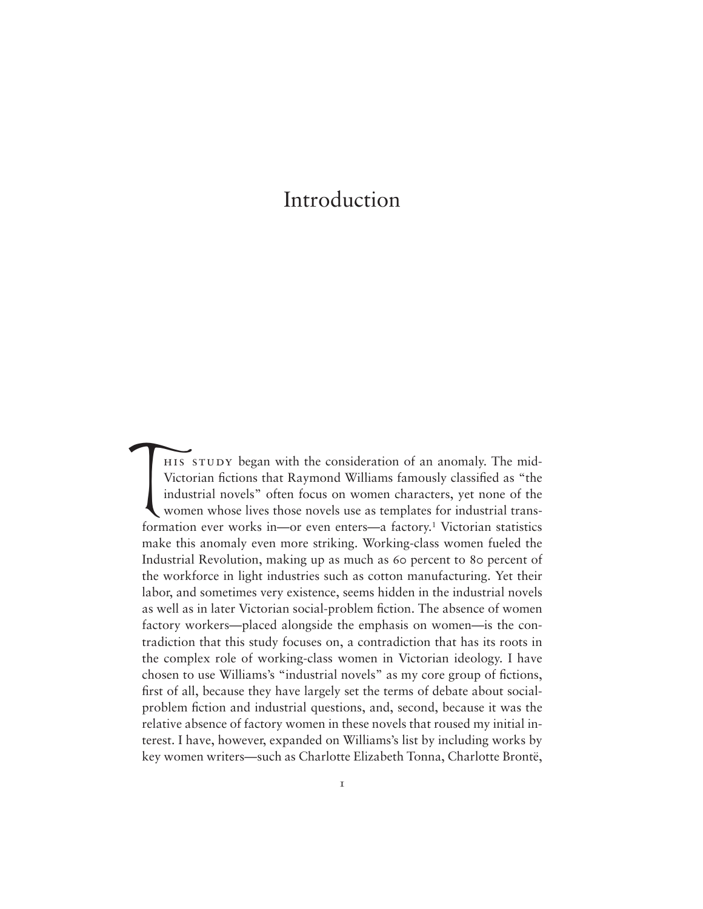his study began with the consideration of an anomaly. The mid-Victorian fictions that Raymond Williams famously classified as "the industrial novels" often focus on women characters, yet none of the women whose lives those novels use as templates for industrial transformation ever works in—or even enters—a factory.<sup>1</sup> Victorian statistics make this anomaly even more striking. Working-class women fueled the Industrial Revolution, making up as much as 60 percent to 80 percent of the workforce in light industries such as cotton manufacturing. Yet their labor, and sometimes very existence, seems hidden in the industrial novels as well as in later Victorian social-problem fiction. The absence of women factory workers—placed alongside the emphasis on women—is the contradiction that this study focuses on, a contradiction that has its roots in the complex role of working-class women in Victorian ideology. I have chosen to use Williams's "industrial novels" as my core group of fictions, first of all, because they have largely set the terms of debate about socialproblem fiction and industrial questions, and, second, because it was the relative absence of factory women in these novels that roused my initial interest. I have, however, expanded on Williams's list by including works by key women writers—such as Charlotte Elizabeth Tonna, Charlotte Brontë,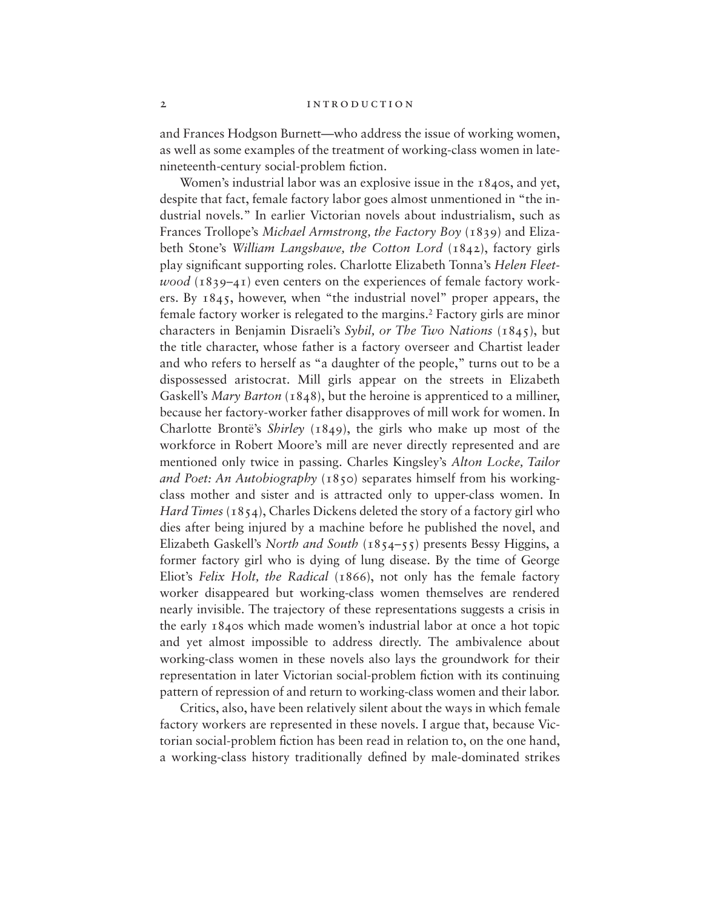#### 2 INTRODUCTION

and Frances Hodgson Burnett—who address the issue of working women, as well as some examples of the treatment of working-class women in latenineteenth-century social-problem fiction.

Women's industrial labor was an explosive issue in the 1840s, and yet, despite that fact, female factory labor goes almost unmentioned in "the industrial novels." In earlier Victorian novels about industrialism, such as Frances Trollope's *Michael Armstrong, the Factory Boy* (1839) and Elizabeth Stone's *William Langshawe, the Cotton Lord* (1842), factory girls play significant supporting roles. Charlotte Elizabeth Tonna's *Helen Fleetwood* (1839–41) even centers on the experiences of female factory workers. By 1845, however, when "the industrial novel" proper appears, the female factory worker is relegated to the margins.2 Factory girls are minor characters in Benjamin Disraeli's *Sybil, or The Two Nations* (1845), but the title character, whose father is a factory overseer and Chartist leader and who refers to herself as "a daughter of the people," turns out to be a dispossessed aristocrat. Mill girls appear on the streets in Elizabeth Gaskell's *Mary Barton* (1848), but the heroine is apprenticed to a milliner, because her factory-worker father disapproves of mill work for women. In Charlotte Brontë's *Shirley* (1849), the girls who make up most of the workforce in Robert Moore's mill are never directly represented and are mentioned only twice in passing. Charles Kingsley's *Alton Locke, Tailor and Poet: An Autobiography* (1850) separates himself from his workingclass mother and sister and is attracted only to upper-class women. In *Hard Times* (1854), Charles Dickens deleted the story of a factory girl who dies after being injured by a machine before he published the novel, and Elizabeth Gaskell's *North and South* (1854–55) presents Bessy Higgins, a former factory girl who is dying of lung disease. By the time of George Eliot's *Felix Holt, the Radical* (1866), not only has the female factory worker disappeared but working-class women themselves are rendered nearly invisible. The trajectory of these representations suggests a crisis in the early 1840s which made women's industrial labor at once a hot topic and yet almost impossible to address directly. The ambivalence about working-class women in these novels also lays the groundwork for their representation in later Victorian social-problem fiction with its continuing pattern of repression of and return to working-class women and their labor.

Critics, also, have been relatively silent about the ways in which female factory workers are represented in these novels. I argue that, because Victorian social-problem fiction has been read in relation to, on the one hand, a working-class history traditionally defined by male-dominated strikes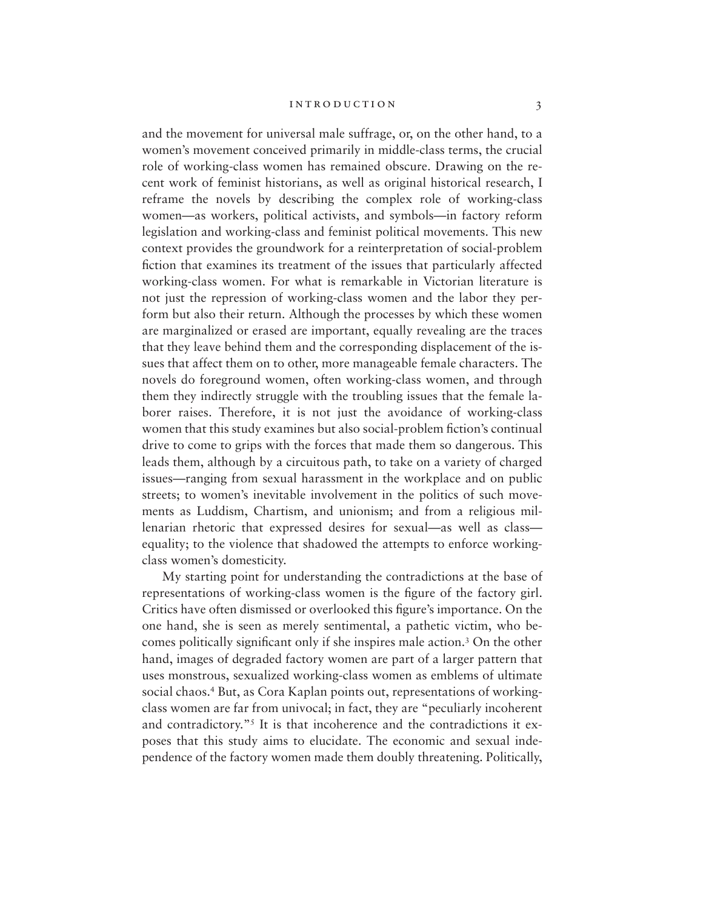and the movement for universal male suffrage, or, on the other hand, to a women's movement conceived primarily in middle-class terms, the crucial role of working-class women has remained obscure. Drawing on the recent work of feminist historians, as well as original historical research, I reframe the novels by describing the complex role of working-class women—as workers, political activists, and symbols—in factory reform legislation and working-class and feminist political movements. This new context provides the groundwork for a reinterpretation of social-problem fiction that examines its treatment of the issues that particularly affected working-class women. For what is remarkable in Victorian literature is not just the repression of working-class women and the labor they perform but also their return. Although the processes by which these women are marginalized or erased are important, equally revealing are the traces that they leave behind them and the corresponding displacement of the issues that affect them on to other, more manageable female characters. The novels do foreground women, often working-class women, and through them they indirectly struggle with the troubling issues that the female laborer raises. Therefore, it is not just the avoidance of working-class women that this study examines but also social-problem fiction's continual drive to come to grips with the forces that made them so dangerous. This leads them, although by a circuitous path, to take on a variety of charged issues—ranging from sexual harassment in the workplace and on public streets; to women's inevitable involvement in the politics of such movements as Luddism, Chartism, and unionism; and from a religious millenarian rhetoric that expressed desires for sexual—as well as class equality; to the violence that shadowed the attempts to enforce workingclass women's domesticity.

My starting point for understanding the contradictions at the base of representations of working-class women is the figure of the factory girl. Critics have often dismissed or overlooked this figure's importance. On the one hand, she is seen as merely sentimental, a pathetic victim, who becomes politically significant only if she inspires male action.3 On the other hand, images of degraded factory women are part of a larger pattern that uses monstrous, sexualized working-class women as emblems of ultimate social chaos.<sup>4</sup> But, as Cora Kaplan points out, representations of workingclass women are far from univocal; in fact, they are "peculiarly incoherent and contradictory."5 It is that incoherence and the contradictions it exposes that this study aims to elucidate. The economic and sexual independence of the factory women made them doubly threatening. Politically,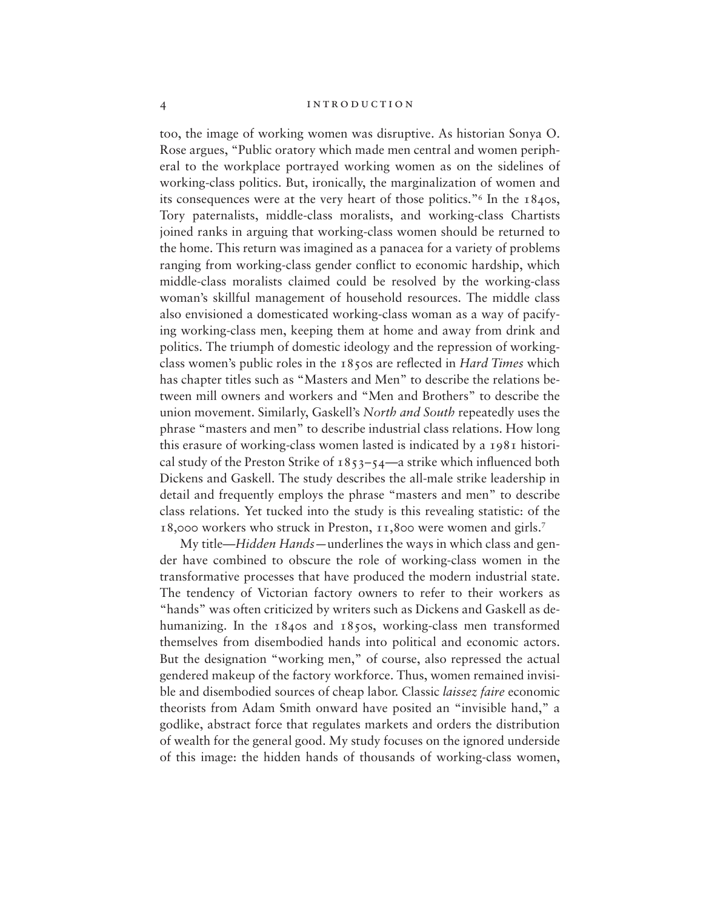too, the image of working women was disruptive. As historian Sonya O. Rose argues, "Public oratory which made men central and women peripheral to the workplace portrayed working women as on the sidelines of working-class politics. But, ironically, the marginalization of women and its consequences were at the very heart of those politics."6 In the 1840s, Tory paternalists, middle-class moralists, and working-class Chartists joined ranks in arguing that working-class women should be returned to the home. This return was imagined as a panacea for a variety of problems ranging from working-class gender conflict to economic hardship, which middle-class moralists claimed could be resolved by the working-class woman's skillful management of household resources. The middle class also envisioned a domesticated working-class woman as a way of pacifying working-class men, keeping them at home and away from drink and politics. The triumph of domestic ideology and the repression of workingclass women's public roles in the 1850s are reflected in *Hard Times* which has chapter titles such as "Masters and Men" to describe the relations between mill owners and workers and "Men and Brothers" to describe the union movement. Similarly, Gaskell's *North and South* repeatedly uses the phrase "masters and men" to describe industrial class relations. How long this erasure of working-class women lasted is indicated by a 1981 historical study of the Preston Strike of  $1853-54$ —a strike which influenced both Dickens and Gaskell. The study describes the all-male strike leadership in detail and frequently employs the phrase "masters and men" to describe class relations. Yet tucked into the study is this revealing statistic: of the 18,000 workers who struck in Preston, 11,800 were women and girls.7

My title—*Hidden Hands—*underlines the ways in which class and gender have combined to obscure the role of working-class women in the transformative processes that have produced the modern industrial state. The tendency of Victorian factory owners to refer to their workers as "hands" was often criticized by writers such as Dickens and Gaskell as dehumanizing. In the 1840s and 1850s, working-class men transformed themselves from disembodied hands into political and economic actors. But the designation "working men," of course, also repressed the actual gendered makeup of the factory workforce. Thus, women remained invisible and disembodied sources of cheap labor. Classic *laissez faire* economic theorists from Adam Smith onward have posited an "invisible hand," a godlike, abstract force that regulates markets and orders the distribution of wealth for the general good. My study focuses on the ignored underside of this image: the hidden hands of thousands of working-class women,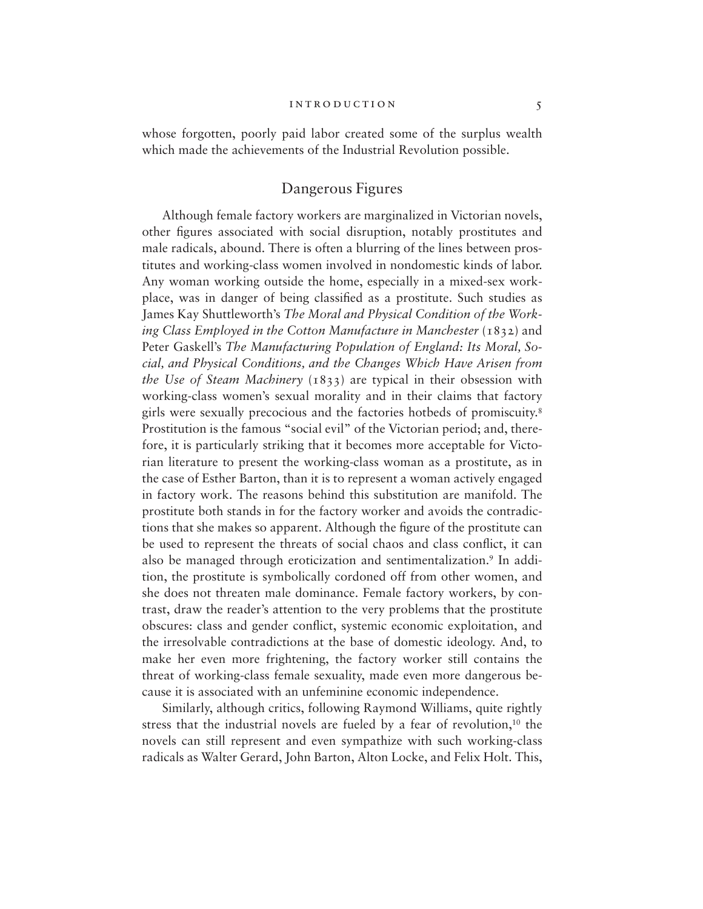whose forgotten, poorly paid labor created some of the surplus wealth which made the achievements of the Industrial Revolution possible.

# Dangerous Figures

Although female factory workers are marginalized in Victorian novels, other figures associated with social disruption, notably prostitutes and male radicals, abound. There is often a blurring of the lines between prostitutes and working-class women involved in nondomestic kinds of labor. Any woman working outside the home, especially in a mixed-sex workplace, was in danger of being classified as a prostitute. Such studies as James Kay Shuttleworth's *The Moral and Physical Condition of the Working Class Employed in the Cotton Manufacture in Manchester* (1832) and Peter Gaskell's *The Manufacturing Population of England: Its Moral, Social, and Physical Conditions, and the Changes Which Have Arisen from the Use of Steam Machinery* (1833) are typical in their obsession with working-class women's sexual morality and in their claims that factory girls were sexually precocious and the factories hotbeds of promiscuity.8 Prostitution is the famous "social evil" of the Victorian period; and, therefore, it is particularly striking that it becomes more acceptable for Victorian literature to present the working-class woman as a prostitute, as in the case of Esther Barton, than it is to represent a woman actively engaged in factory work. The reasons behind this substitution are manifold. The prostitute both stands in for the factory worker and avoids the contradictions that she makes so apparent. Although the figure of the prostitute can be used to represent the threats of social chaos and class conflict, it can also be managed through eroticization and sentimentalization.<sup>9</sup> In addition, the prostitute is symbolically cordoned off from other women, and she does not threaten male dominance. Female factory workers, by contrast, draw the reader's attention to the very problems that the prostitute obscures: class and gender conflict, systemic economic exploitation, and the irresolvable contradictions at the base of domestic ideology. And, to make her even more frightening, the factory worker still contains the threat of working-class female sexuality, made even more dangerous because it is associated with an unfeminine economic independence.

Similarly, although critics, following Raymond Williams, quite rightly stress that the industrial novels are fueled by a fear of revolution,<sup>10</sup> the novels can still represent and even sympathize with such working-class radicals as Walter Gerard, John Barton, Alton Locke, and Felix Holt. This,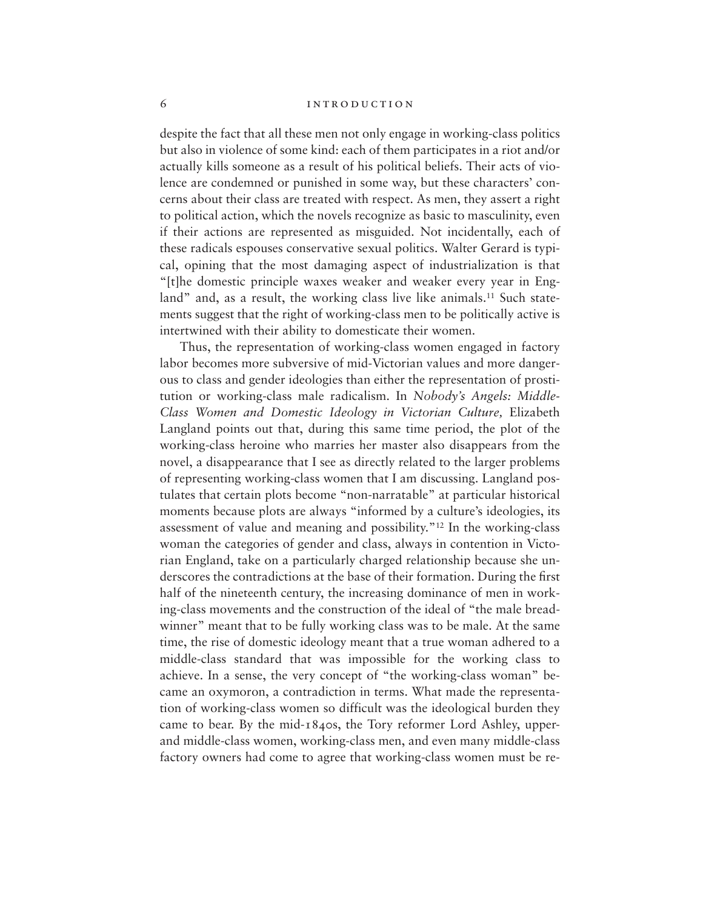despite the fact that all these men not only engage in working-class politics but also in violence of some kind: each of them participates in a riot and/or actually kills someone as a result of his political beliefs. Their acts of violence are condemned or punished in some way, but these characters' concerns about their class are treated with respect. As men, they assert a right to political action, which the novels recognize as basic to masculinity, even if their actions are represented as misguided. Not incidentally, each of these radicals espouses conservative sexual politics. Walter Gerard is typical, opining that the most damaging aspect of industrialization is that "[t]he domestic principle waxes weaker and weaker every year in England" and, as a result, the working class live like animals.<sup>11</sup> Such statements suggest that the right of working-class men to be politically active is intertwined with their ability to domesticate their women.

Thus, the representation of working-class women engaged in factory labor becomes more subversive of mid-Victorian values and more dangerous to class and gender ideologies than either the representation of prostitution or working-class male radicalism. In *Nobody's Angels: Middle-Class Women and Domestic Ideology in Victorian Culture,* Elizabeth Langland points out that, during this same time period, the plot of the working-class heroine who marries her master also disappears from the novel, a disappearance that I see as directly related to the larger problems of representing working-class women that I am discussing. Langland postulates that certain plots become "non-narratable" at particular historical moments because plots are always "informed by a culture's ideologies, its assessment of value and meaning and possibility."12 In the working-class woman the categories of gender and class, always in contention in Victorian England, take on a particularly charged relationship because she underscores the contradictions at the base of their formation. During the first half of the nineteenth century, the increasing dominance of men in working-class movements and the construction of the ideal of "the male breadwinner" meant that to be fully working class was to be male. At the same time, the rise of domestic ideology meant that a true woman adhered to a middle-class standard that was impossible for the working class to achieve. In a sense, the very concept of "the working-class woman" became an oxymoron, a contradiction in terms. What made the representation of working-class women so difficult was the ideological burden they came to bear. By the mid-1840s, the Tory reformer Lord Ashley, upperand middle-class women, working-class men, and even many middle-class factory owners had come to agree that working-class women must be re-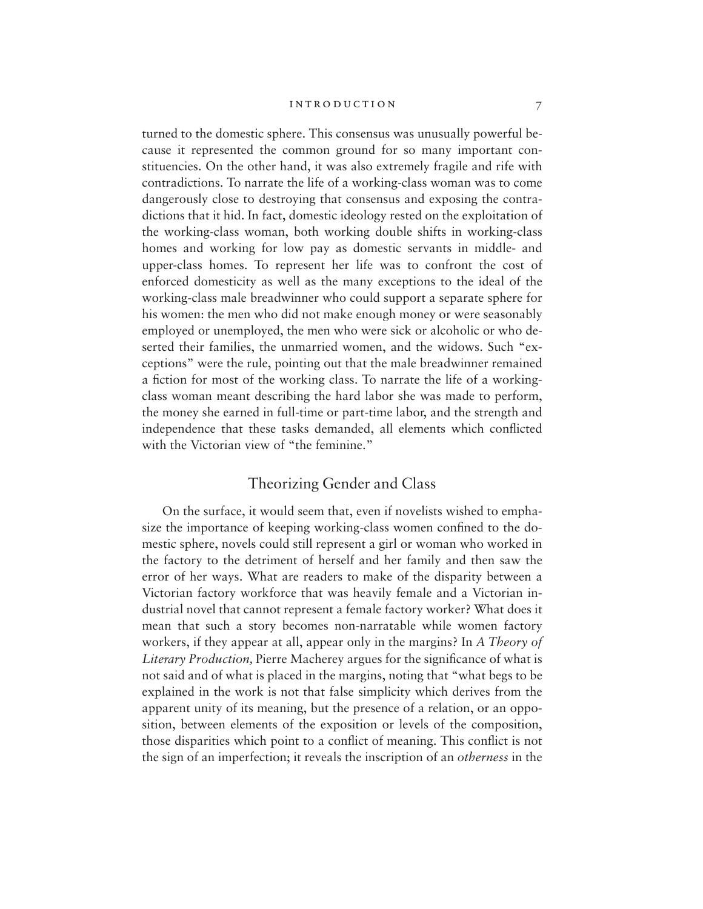turned to the domestic sphere. This consensus was unusually powerful because it represented the common ground for so many important constituencies. On the other hand, it was also extremely fragile and rife with contradictions. To narrate the life of a working-class woman was to come dangerously close to destroying that consensus and exposing the contradictions that it hid. In fact, domestic ideology rested on the exploitation of the working-class woman, both working double shifts in working-class homes and working for low pay as domestic servants in middle- and upper-class homes. To represent her life was to confront the cost of enforced domesticity as well as the many exceptions to the ideal of the working-class male breadwinner who could support a separate sphere for his women: the men who did not make enough money or were seasonably employed or unemployed, the men who were sick or alcoholic or who deserted their families, the unmarried women, and the widows. Such "exceptions" were the rule, pointing out that the male breadwinner remained a fiction for most of the working class. To narrate the life of a workingclass woman meant describing the hard labor she was made to perform, the money she earned in full-time or part-time labor, and the strength and independence that these tasks demanded, all elements which conflicted with the Victorian view of "the feminine."

# Theorizing Gender and Class

On the surface, it would seem that, even if novelists wished to emphasize the importance of keeping working-class women confined to the domestic sphere, novels could still represent a girl or woman who worked in the factory to the detriment of herself and her family and then saw the error of her ways. What are readers to make of the disparity between a Victorian factory workforce that was heavily female and a Victorian industrial novel that cannot represent a female factory worker? What does it mean that such a story becomes non-narratable while women factory workers, if they appear at all, appear only in the margins? In *A Theory of Literary Production,* Pierre Macherey argues for the significance of what is not said and of what is placed in the margins, noting that "what begs to be explained in the work is not that false simplicity which derives from the apparent unity of its meaning, but the presence of a relation, or an opposition, between elements of the exposition or levels of the composition, those disparities which point to a conflict of meaning. This conflict is not the sign of an imperfection; it reveals the inscription of an *otherness* in the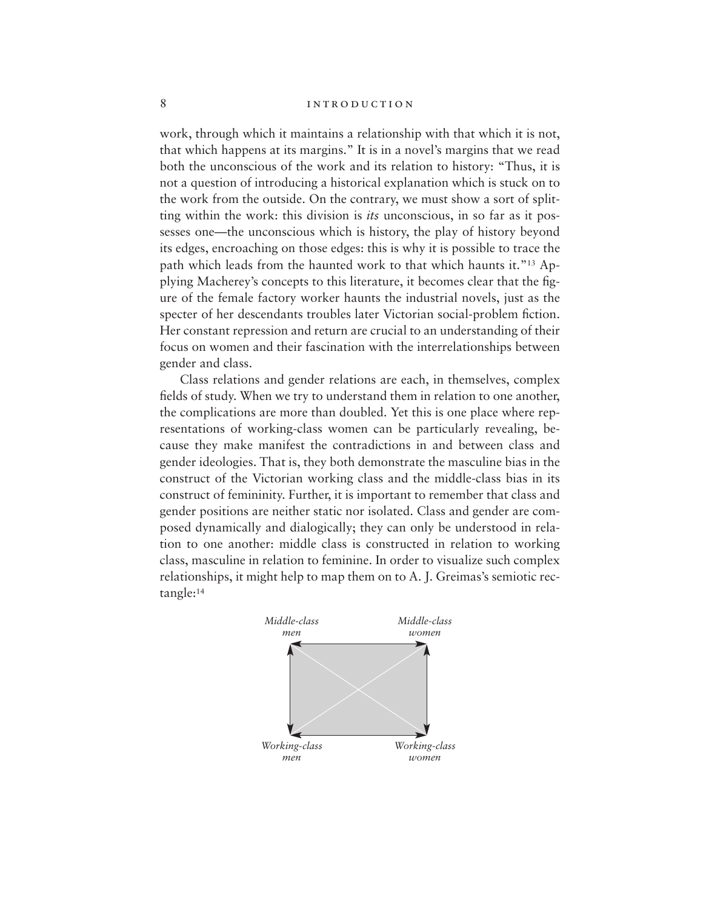work, through which it maintains a relationship with that which it is not, that which happens at its margins." It is in a novel's margins that we read both the unconscious of the work and its relation to history: "Thus, it is not a question of introducing a historical explanation which is stuck on to the work from the outside. On the contrary, we must show a sort of splitting within the work: this division is *its* unconscious, in so far as it possesses one—the unconscious which is history, the play of history beyond its edges, encroaching on those edges: this is why it is possible to trace the path which leads from the haunted work to that which haunts it."13 Applying Macherey's concepts to this literature, it becomes clear that the figure of the female factory worker haunts the industrial novels, just as the specter of her descendants troubles later Victorian social-problem fiction. Her constant repression and return are crucial to an understanding of their focus on women and their fascination with the interrelationships between gender and class.

Class relations and gender relations are each, in themselves, complex fields of study. When we try to understand them in relation to one another, the complications are more than doubled. Yet this is one place where representations of working-class women can be particularly revealing, because they make manifest the contradictions in and between class and gender ideologies. That is, they both demonstrate the masculine bias in the construct of the Victorian working class and the middle-class bias in its construct of femininity. Further, it is important to remember that class and gender positions are neither static nor isolated. Class and gender are composed dynamically and dialogically; they can only be understood in relation to one another: middle class is constructed in relation to working class, masculine in relation to feminine. In order to visualize such complex relationships, it might help to map them on to A. J. Greimas's semiotic rectangle:14

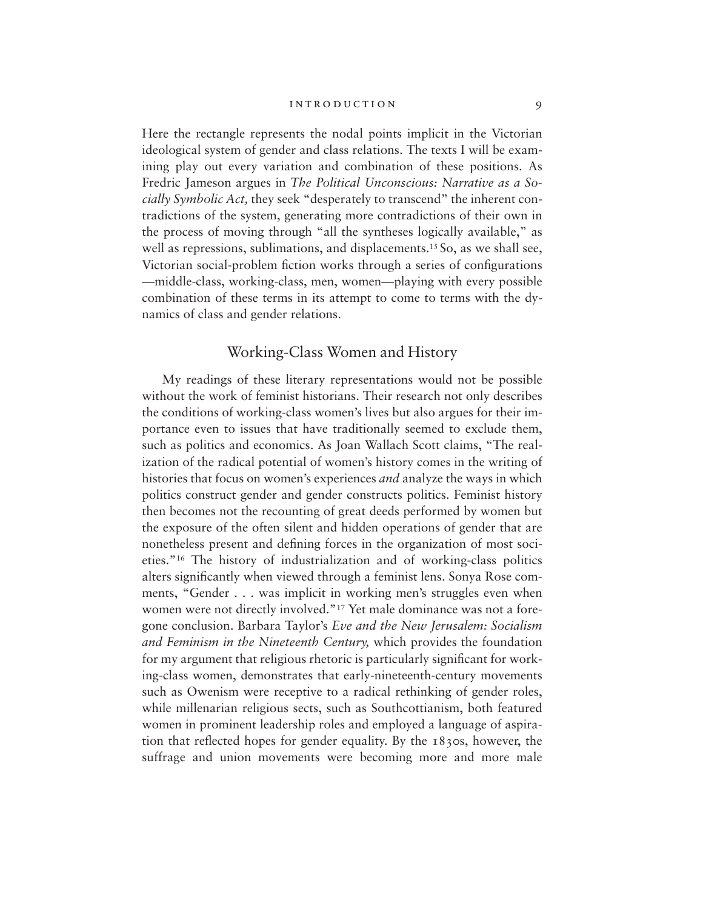Here the rectangle represents the nodal points implicit in the Victorian ideological system of gender and class relations. The texts I will be examining play out every variation and combination of these positions. As Fredric Jameson argues in *The Political Unconscious: Narrative as a Socially Symbolic Act,* they seek "desperately to transcend" the inherent contradictions of the system, generating more contradictions of their own in the process of moving through "all the syntheses logically available," as well as repressions, sublimations, and displacements.<sup>15</sup> So, as we shall see, Victorian social-problem fiction works through a series of configurations —middle-class, working-class, men, women—playing with every possible combination of these terms in its attempt to come to terms with the dynamics of class and gender relations.

# Working-Class Women and History

My readings of these literary representations would not be possible without the work of feminist historians. Their research not only describes the conditions of working-class women's lives but also argues for their importance even to issues that have traditionally seemed to exclude them, such as politics and economics. As Joan Wallach Scott claims, "The realization of the radical potential of women's history comes in the writing of histories that focus on women's experiences *and* analyze the ways in which politics construct gender and gender constructs politics. Feminist history then becomes not the recounting of great deeds performed by women but the exposure of the often silent and hidden operations of gender that are nonetheless present and defining forces in the organization of most societies."16 The history of industrialization and of working-class politics alters significantly when viewed through a feminist lens. Sonya Rose comments, "Gender . . . was implicit in working men's struggles even when women were not directly involved."17 Yet male dominance was not a foregone conclusion. Barbara Taylor's *Eve and the New Jerusalem: Socialism and Feminism in the Nineteenth Century,* which provides the foundation for my argument that religious rhetoric is particularly significant for working-class women, demonstrates that early-nineteenth-century movements such as Owenism were receptive to a radical rethinking of gender roles, while millenarian religious sects, such as Southcottianism, both featured women in prominent leadership roles and employed a language of aspiration that reflected hopes for gender equality. By the 1830s, however, the suffrage and union movements were becoming more and more male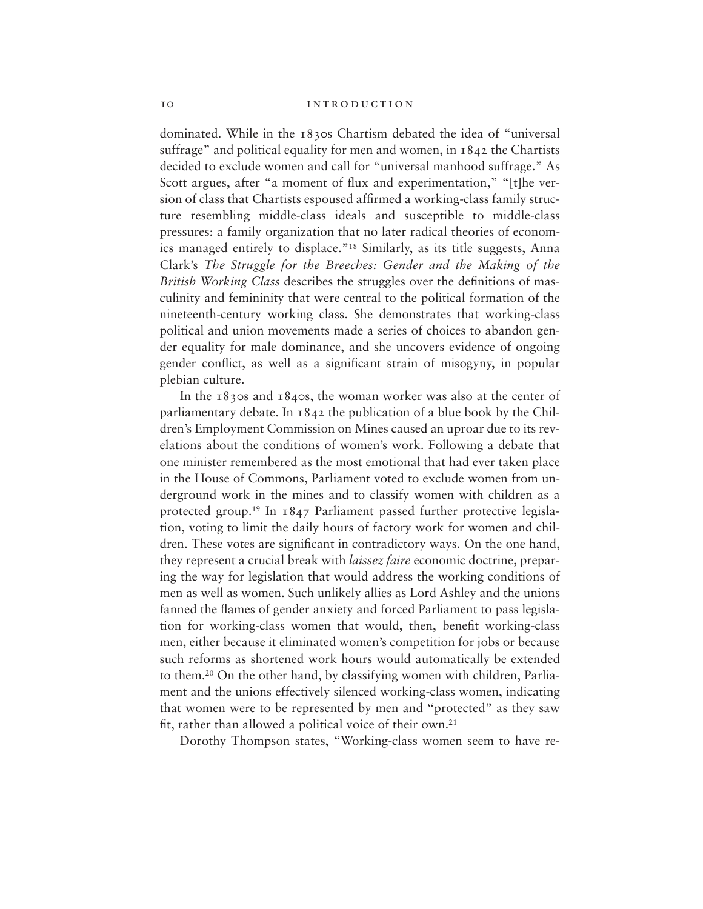dominated. While in the 1830s Chartism debated the idea of "universal suffrage" and political equality for men and women, in 1842 the Chartists decided to exclude women and call for "universal manhood suffrage." As Scott argues, after "a moment of flux and experimentation," "[t]he version of class that Chartists espoused affirmed a working-class family structure resembling middle-class ideals and susceptible to middle-class pressures: a family organization that no later radical theories of economics managed entirely to displace."18 Similarly, as its title suggests, Anna Clark's *The Struggle for the Breeches: Gender and the Making of the British Working Class* describes the struggles over the definitions of masculinity and femininity that were central to the political formation of the nineteenth-century working class. She demonstrates that working-class political and union movements made a series of choices to abandon gender equality for male dominance, and she uncovers evidence of ongoing gender conflict, as well as a significant strain of misogyny, in popular plebian culture.

In the 1830s and 1840s, the woman worker was also at the center of parliamentary debate. In 1842 the publication of a blue book by the Children's Employment Commission on Mines caused an uproar due to its revelations about the conditions of women's work. Following a debate that one minister remembered as the most emotional that had ever taken place in the House of Commons, Parliament voted to exclude women from underground work in the mines and to classify women with children as a protected group.19 In 1847 Parliament passed further protective legislation, voting to limit the daily hours of factory work for women and children. These votes are significant in contradictory ways. On the one hand, they represent a crucial break with *laissez faire* economic doctrine, preparing the way for legislation that would address the working conditions of men as well as women. Such unlikely allies as Lord Ashley and the unions fanned the flames of gender anxiety and forced Parliament to pass legislation for working-class women that would, then, benefit working-class men, either because it eliminated women's competition for jobs or because such reforms as shortened work hours would automatically be extended to them.20 On the other hand, by classifying women with children, Parliament and the unions effectively silenced working-class women, indicating that women were to be represented by men and "protected" as they saw fit, rather than allowed a political voice of their own.21

Dorothy Thompson states, "Working-class women seem to have re-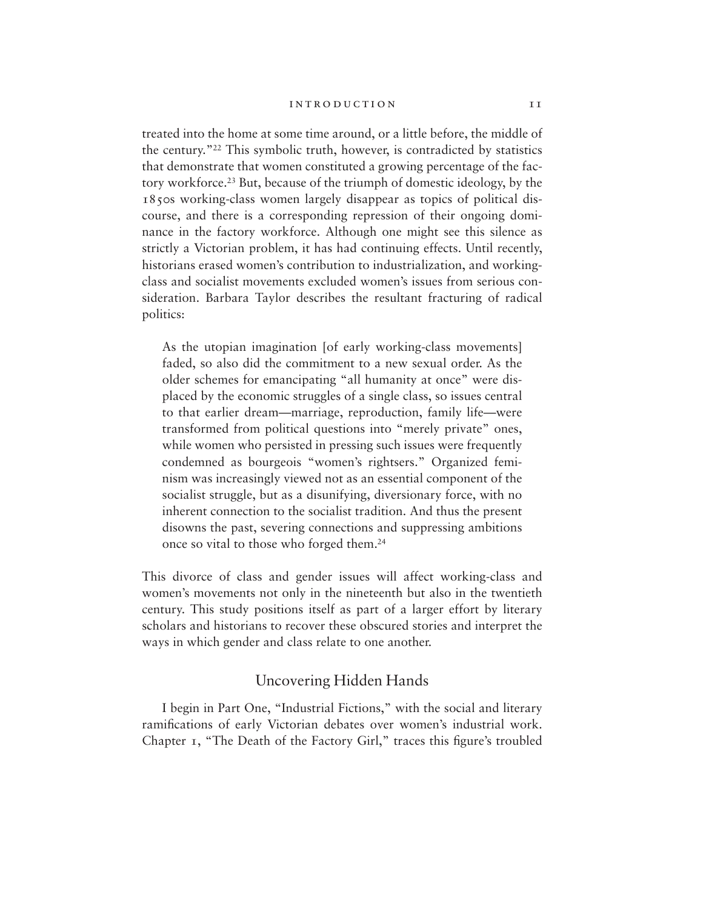## INTRODUCTION II

treated into the home at some time around, or a little before, the middle of the century."22 This symbolic truth, however, is contradicted by statistics that demonstrate that women constituted a growing percentage of the factory workforce.23 But, because of the triumph of domestic ideology, by the 1850s working-class women largely disappear as topics of political discourse, and there is a corresponding repression of their ongoing dominance in the factory workforce. Although one might see this silence as strictly a Victorian problem, it has had continuing effects. Until recently, historians erased women's contribution to industrialization, and workingclass and socialist movements excluded women's issues from serious consideration. Barbara Taylor describes the resultant fracturing of radical politics:

As the utopian imagination [of early working-class movements] faded, so also did the commitment to a new sexual order. As the older schemes for emancipating "all humanity at once" were displaced by the economic struggles of a single class, so issues central to that earlier dream—marriage, reproduction, family life—were transformed from political questions into "merely private" ones, while women who persisted in pressing such issues were frequently condemned as bourgeois "women's rightsers." Organized feminism was increasingly viewed not as an essential component of the socialist struggle, but as a disunifying, diversionary force, with no inherent connection to the socialist tradition. And thus the present disowns the past, severing connections and suppressing ambitions once so vital to those who forged them.24

This divorce of class and gender issues will affect working-class and women's movements not only in the nineteenth but also in the twentieth century. This study positions itself as part of a larger effort by literary scholars and historians to recover these obscured stories and interpret the ways in which gender and class relate to one another.

# Uncovering Hidden Hands

I begin in Part One, "Industrial Fictions," with the social and literary ramifications of early Victorian debates over women's industrial work. Chapter 1, "The Death of the Factory Girl," traces this figure's troubled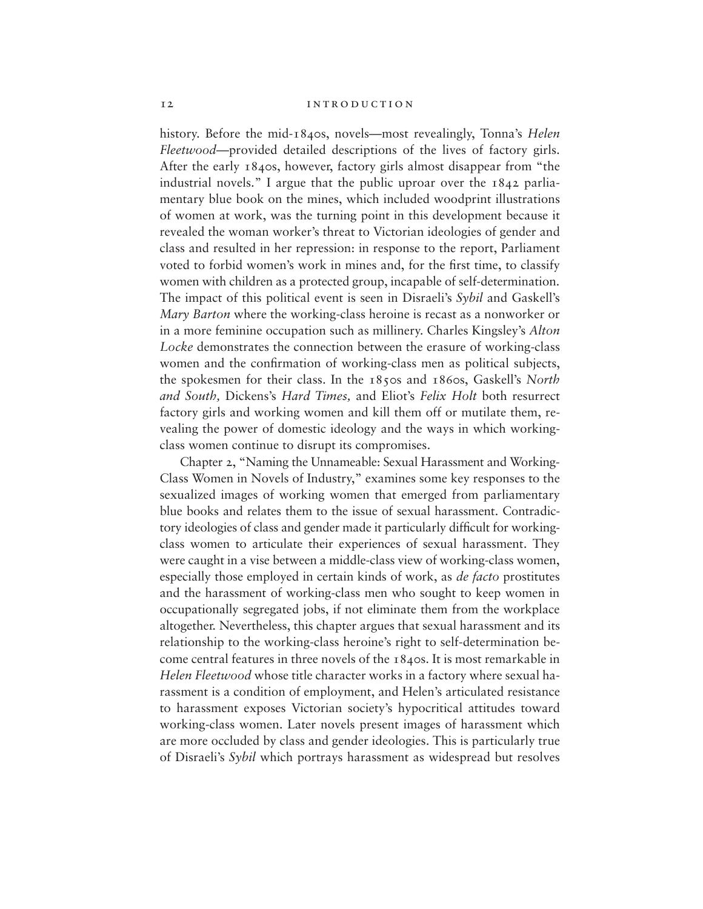history. Before the mid-1840s, novels—most revealingly, Tonna's *Helen Fleetwood*—provided detailed descriptions of the lives of factory girls. After the early 1840s, however, factory girls almost disappear from "the industrial novels." I argue that the public uproar over the 1842 parliamentary blue book on the mines, which included woodprint illustrations of women at work, was the turning point in this development because it revealed the woman worker's threat to Victorian ideologies of gender and class and resulted in her repression: in response to the report, Parliament voted to forbid women's work in mines and, for the first time, to classify women with children as a protected group, incapable of self-determination. The impact of this political event is seen in Disraeli's *Sybil* and Gaskell's *Mary Barton* where the working-class heroine is recast as a nonworker or in a more feminine occupation such as millinery. Charles Kingsley's *Alton Locke* demonstrates the connection between the erasure of working-class women and the confirmation of working-class men as political subjects, the spokesmen for their class. In the 1850s and 1860s, Gaskell's *North and South,* Dickens's *Hard Times,* and Eliot's *Felix Holt* both resurrect factory girls and working women and kill them off or mutilate them, revealing the power of domestic ideology and the ways in which workingclass women continue to disrupt its compromises.

Chapter 2, "Naming the Unnameable: Sexual Harassment and Working-Class Women in Novels of Industry," examines some key responses to the sexualized images of working women that emerged from parliamentary blue books and relates them to the issue of sexual harassment. Contradictory ideologies of class and gender made it particularly difficult for workingclass women to articulate their experiences of sexual harassment. They were caught in a vise between a middle-class view of working-class women, especially those employed in certain kinds of work, as *de facto* prostitutes and the harassment of working-class men who sought to keep women in occupationally segregated jobs, if not eliminate them from the workplace altogether. Nevertheless, this chapter argues that sexual harassment and its relationship to the working-class heroine's right to self-determination become central features in three novels of the 1840s. It is most remarkable in *Helen Fleetwood* whose title character works in a factory where sexual harassment is a condition of employment, and Helen's articulated resistance to harassment exposes Victorian society's hypocritical attitudes toward working-class women. Later novels present images of harassment which are more occluded by class and gender ideologies. This is particularly true of Disraeli's *Sybil* which portrays harassment as widespread but resolves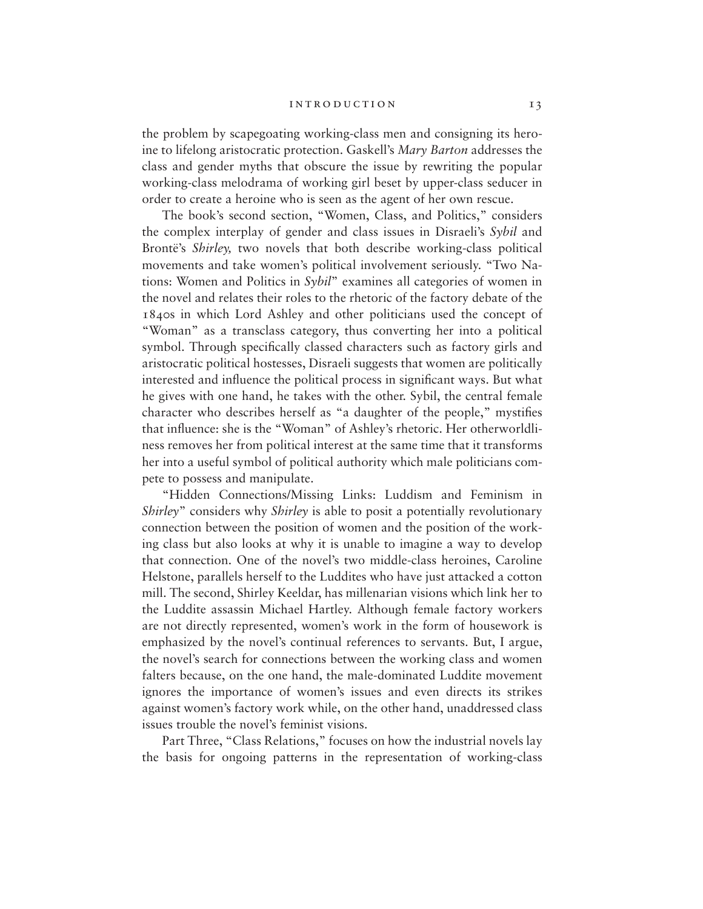## INTRODUCTION 13

the problem by scapegoating working-class men and consigning its heroine to lifelong aristocratic protection. Gaskell's *Mary Barton* addresses the class and gender myths that obscure the issue by rewriting the popular working-class melodrama of working girl beset by upper-class seducer in order to create a heroine who is seen as the agent of her own rescue.

The book's second section, "Women, Class, and Politics," considers the complex interplay of gender and class issues in Disraeli's *Sybil* and Brontë's *Shirley,* two novels that both describe working-class political movements and take women's political involvement seriously. "Two Nations: Women and Politics in *Sybil*" examines all categories of women in the novel and relates their roles to the rhetoric of the factory debate of the 1840s in which Lord Ashley and other politicians used the concept of "Woman" as a transclass category, thus converting her into a political symbol. Through specifically classed characters such as factory girls and aristocratic political hostesses, Disraeli suggests that women are politically interested and influence the political process in significant ways. But what he gives with one hand, he takes with the other. Sybil, the central female character who describes herself as "a daughter of the people," mystifies that influence: she is the "Woman" of Ashley's rhetoric. Her otherworldliness removes her from political interest at the same time that it transforms her into a useful symbol of political authority which male politicians compete to possess and manipulate.

"Hidden Connections/Missing Links: Luddism and Feminism in *Shirley*" considers why *Shirley* is able to posit a potentially revolutionary connection between the position of women and the position of the working class but also looks at why it is unable to imagine a way to develop that connection. One of the novel's two middle-class heroines, Caroline Helstone, parallels herself to the Luddites who have just attacked a cotton mill. The second, Shirley Keeldar, has millenarian visions which link her to the Luddite assassin Michael Hartley. Although female factory workers are not directly represented, women's work in the form of housework is emphasized by the novel's continual references to servants. But, I argue, the novel's search for connections between the working class and women falters because, on the one hand, the male-dominated Luddite movement ignores the importance of women's issues and even directs its strikes against women's factory work while, on the other hand, unaddressed class issues trouble the novel's feminist visions.

Part Three, "Class Relations," focuses on how the industrial novels lay the basis for ongoing patterns in the representation of working-class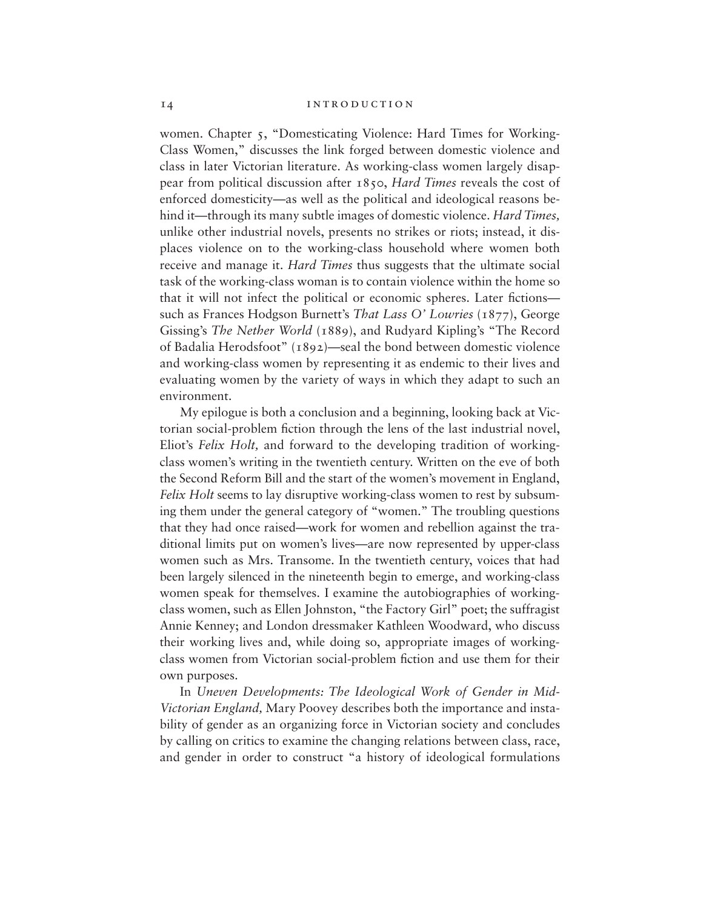women. Chapter 5, "Domesticating Violence: Hard Times for Working-Class Women," discusses the link forged between domestic violence and class in later Victorian literature. As working-class women largely disappear from political discussion after 1850, *Hard Times* reveals the cost of enforced domesticity—as well as the political and ideological reasons behind it—through its many subtle images of domestic violence. *Hard Times,* unlike other industrial novels, presents no strikes or riots; instead, it displaces violence on to the working-class household where women both receive and manage it. *Hard Times* thus suggests that the ultimate social task of the working-class woman is to contain violence within the home so that it will not infect the political or economic spheres. Later fictions such as Frances Hodgson Burnett's *That Lass O' Lowries* (1877), George Gissing's *The Nether World* (1889), and Rudyard Kipling's "The Record of Badalia Herodsfoot" (1892)—seal the bond between domestic violence and working-class women by representing it as endemic to their lives and evaluating women by the variety of ways in which they adapt to such an environment.

My epilogue is both a conclusion and a beginning, looking back at Victorian social-problem fiction through the lens of the last industrial novel, Eliot's *Felix Holt,* and forward to the developing tradition of workingclass women's writing in the twentieth century. Written on the eve of both the Second Reform Bill and the start of the women's movement in England, *Felix Holt* seems to lay disruptive working-class women to rest by subsuming them under the general category of "women." The troubling questions that they had once raised—work for women and rebellion against the traditional limits put on women's lives—are now represented by upper-class women such as Mrs. Transome. In the twentieth century, voices that had been largely silenced in the nineteenth begin to emerge, and working-class women speak for themselves. I examine the autobiographies of workingclass women, such as Ellen Johnston, "the Factory Girl" poet; the suffragist Annie Kenney; and London dressmaker Kathleen Woodward, who discuss their working lives and, while doing so, appropriate images of workingclass women from Victorian social-problem fiction and use them for their own purposes.

In *Uneven Developments: The Ideological Work of Gender in Mid-Victorian England,* Mary Poovey describes both the importance and instability of gender as an organizing force in Victorian society and concludes by calling on critics to examine the changing relations between class, race, and gender in order to construct "a history of ideological formulations